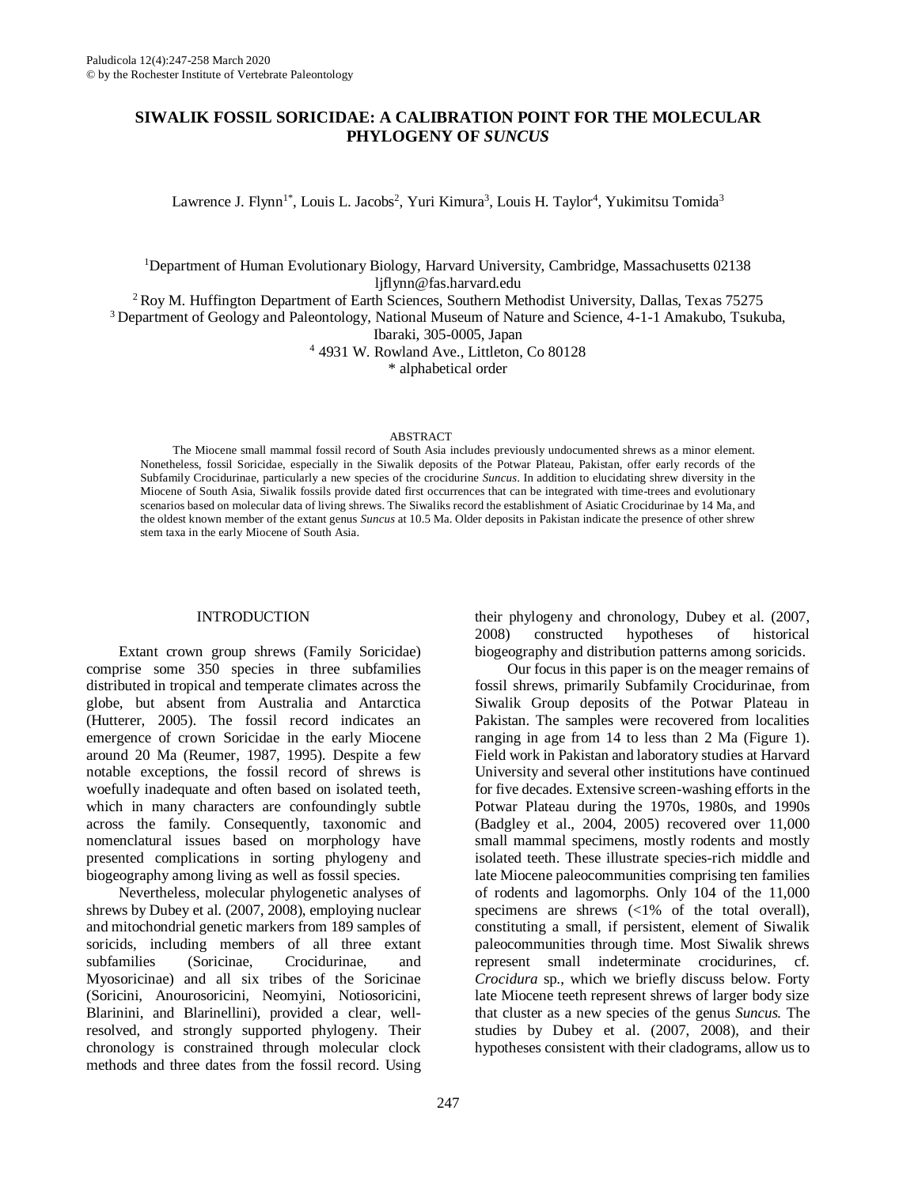# **SIWALIK FOSSIL SORICIDAE: A CALIBRATION POINT FOR THE MOLECULAR PHYLOGENY OF** *SUNCUS*

Lawrence J. Flynn<sup>1\*</sup>, Louis L. Jacobs<sup>2</sup>, Yuri Kimura<sup>3</sup>, Louis H. Taylor<sup>4</sup>, Yukimitsu Tomida<sup>3</sup>

<sup>1</sup>Department of Human Evolutionary Biology, Harvard University, Cambridge, Massachusetts 02138 [ljflynn@fas.harvard.edu](mailto:ljflynn@fas.harvard.edu)

<sup>2</sup> Roy M. Huffington Department of Earth Sciences, Southern Methodist University, Dallas, Texas 75275

<sup>3</sup> Department of Geology and Paleontology, National Museum of Nature and Science, 4-1-1 Amakubo, Tsukuba, Ibaraki, 305-0005, Japan

<sup>4</sup> 4931 W. Rowland Ave., Littleton, Co 80128

\* alphabetical order

#### **ABSTRACT**

The Miocene small mammal fossil record of South Asia includes previously undocumented shrews as a minor element. Nonetheless, fossil Soricidae, especially in the Siwalik deposits of the Potwar Plateau, Pakistan, offer early records of the Subfamily Crocidurinae, particularly a new species of the crocidurine *Suncus*. In addition to elucidating shrew diversity in the Miocene of South Asia, Siwalik fossils provide dated first occurrences that can be integrated with time-trees and evolutionary scenarios based on molecular data of living shrews. The Siwaliks record the establishment of Asiatic Crocidurinae by 14 Ma, and the oldest known member of the extant genus *Suncus* at 10.5 Ma. Older deposits in Pakistan indicate the presence of other shrew stem taxa in the early Miocene of South Asia.

# INTRODUCTION

Extant crown group shrews (Family Soricidae) comprise some 350 species in three subfamilies distributed in tropical and temperate climates across the globe, but absent from Australia and Antarctica (Hutterer, 2005). The fossil record indicates an emergence of crown Soricidae in the early Miocene around 20 Ma (Reumer, 1987, 1995). Despite a few notable exceptions, the fossil record of shrews is woefully inadequate and often based on isolated teeth, which in many characters are confoundingly subtle across the family. Consequently, taxonomic and nomenclatural issues based on morphology have presented complications in sorting phylogeny and biogeography among living as well as fossil species.

Nevertheless, molecular phylogenetic analyses of shrews by Dubey et al. (2007, 2008), employing nuclear and mitochondrial genetic markers from 189 samples of soricids, including members of all three extant subfamilies (Soricinae, Crocidurinae, and Myosoricinae) and all six tribes of the Soricinae (Soricini, Anourosoricini, Neomyini, Notiosoricini, Blarinini, and Blarinellini), provided a clear, wellresolved, and strongly supported phylogeny. Their chronology is constrained through molecular clock methods and three dates from the fossil record. Using

247

their phylogeny and chronology, Dubey et al. (2007, 2008) constructed hypotheses of historical biogeography and distribution patterns among soricids.

Our focus in this paper is on the meager remains of fossil shrews, primarily Subfamily Crocidurinae, from Siwalik Group deposits of the Potwar Plateau in Pakistan. The samples were recovered from localities ranging in age from 14 to less than 2 Ma (Figure 1). Field work in Pakistan and laboratory studies at Harvard University and several other institutions have continued for five decades. Extensive screen-washing efforts in the Potwar Plateau during the 1970s, 1980s, and 1990s (Badgley et al., 2004, 2005) recovered over 11,000 small mammal specimens, mostly rodents and mostly isolated teeth. These illustrate species-rich middle and late Miocene paleocommunities comprising ten families of rodents and lagomorphs. Only 104 of the 11,000 specimens are shrews (<1% of the total overall), constituting a small, if persistent, element of Siwalik paleocommunities through time. Most Siwalik shrews represent small indeterminate crocidurines, cf. *Crocidura* sp., which we briefly discuss below. Forty late Miocene teeth represent shrews of larger body size that cluster as a new species of the genus *Suncus.* The studies by Dubey et al. (2007, 2008), and their hypotheses consistent with their cladograms, allow us to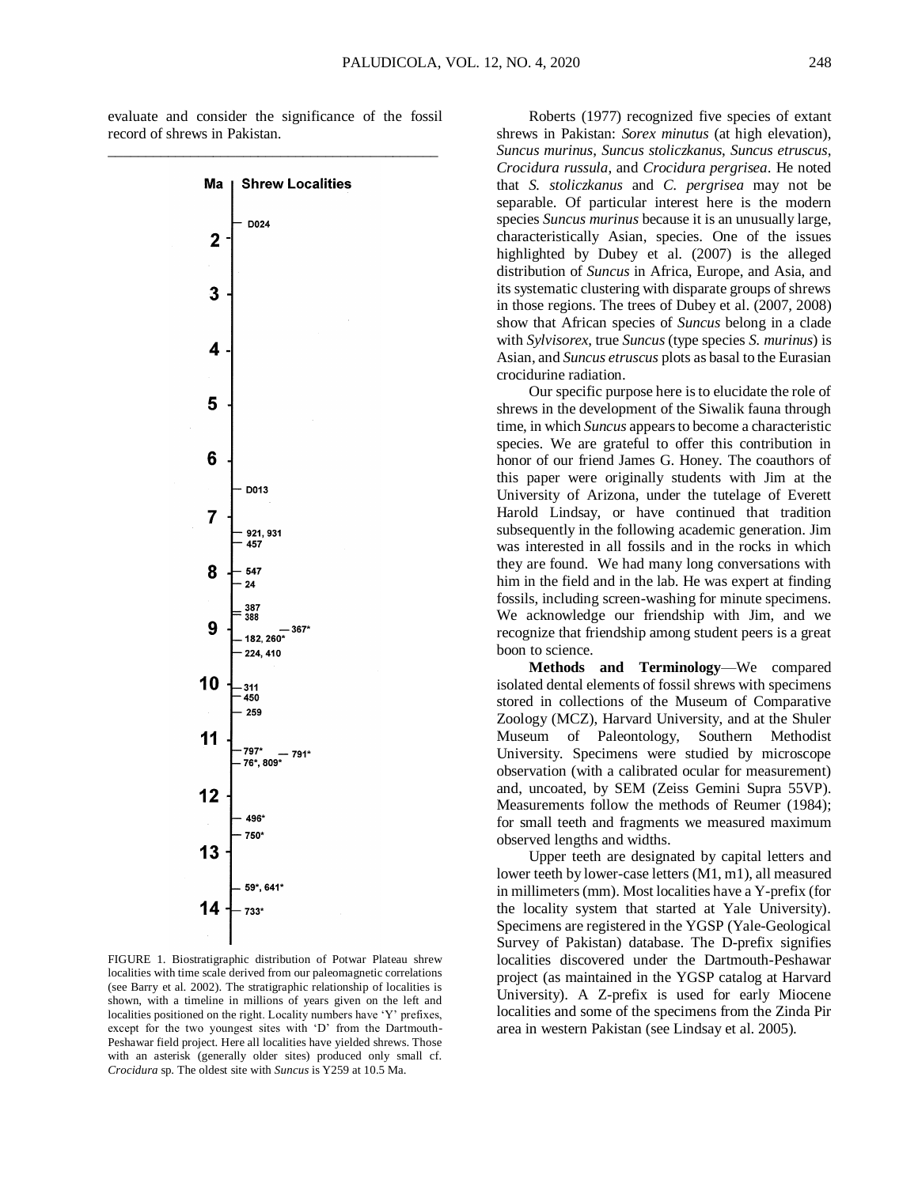evaluate and consider the significance of the fossil record of shrews in Pakistan.



FIGURE 1. Biostratigraphic distribution of Potwar Plateau shrew localities with time scale derived from our paleomagnetic correlations (see Barry et al. 2002). The stratigraphic relationship of localities is shown, with a timeline in millions of years given on the left and localities positioned on the right. Locality numbers have 'Y' prefixes, except for the two youngest sites with 'D' from the Dartmouth-Peshawar field project. Here all localities have yielded shrews. Those with an asterisk (generally older sites) produced only small cf. *Crocidura* sp. The oldest site with *Suncus* is Y259 at 10.5 Ma.

Roberts (1977) recognized five species of extant shrews in Pakistan: *Sorex minutus* (at high elevation), *Suncus murinus*, *Suncus stoliczkanus*, *Suncus etruscus*, *Crocidura russula*, and *Crocidura pergrisea*. He noted that *S. stoliczkanus* and *C. pergrisea* may not be separable. Of particular interest here is the modern species *Suncus murinus* because it is an unusually large, characteristically Asian, species. One of the issues highlighted by Dubey et al. (2007) is the alleged distribution of *Suncus* in Africa, Europe, and Asia, and its systematic clustering with disparate groups of shrews in those regions. The trees of Dubey et al. (2007, 2008) show that African species of *Suncus* belong in a clade with *Sylvisorex*, true *Suncus* (type species *S. murinus*) is Asian, and *Suncus etruscus* plots as basal to the Eurasian crocidurine radiation.

Our specific purpose here is to elucidate the role of shrews in the development of the Siwalik fauna through time, in which *Suncus* appears to become a characteristic species. We are grateful to offer this contribution in honor of our friend James G. Honey. The coauthors of this paper were originally students with Jim at the University of Arizona, under the tutelage of Everett Harold Lindsay, or have continued that tradition subsequently in the following academic generation. Jim was interested in all fossils and in the rocks in which they are found. We had many long conversations with him in the field and in the lab. He was expert at finding fossils, including screen-washing for minute specimens. We acknowledge our friendship with Jim, and we recognize that friendship among student peers is a great boon to science.

**Methods and Terminology**—We compared isolated dental elements of fossil shrews with specimens stored in collections of the Museum of Comparative Zoology (MCZ), Harvard University, and at the Shuler Museum of Paleontology, Southern Methodist University. Specimens were studied by microscope observation (with a calibrated ocular for measurement) and, uncoated, by SEM (Zeiss Gemini Supra 55VP). Measurements follow the methods of Reumer (1984); for small teeth and fragments we measured maximum observed lengths and widths.

Upper teeth are designated by capital letters and lower teeth by lower-case letters (M1, m1), all measured in millimeters (mm). Most localities have a Y-prefix (for the locality system that started at Yale University). Specimens are registered in the YGSP (Yale-Geological Survey of Pakistan) database. The D-prefix signifies localities discovered under the Dartmouth-Peshawar project (as maintained in the YGSP catalog at Harvard University). A Z-prefix is used for early Miocene localities and some of the specimens from the Zinda Pir area in western Pakistan (see Lindsay et al. 2005).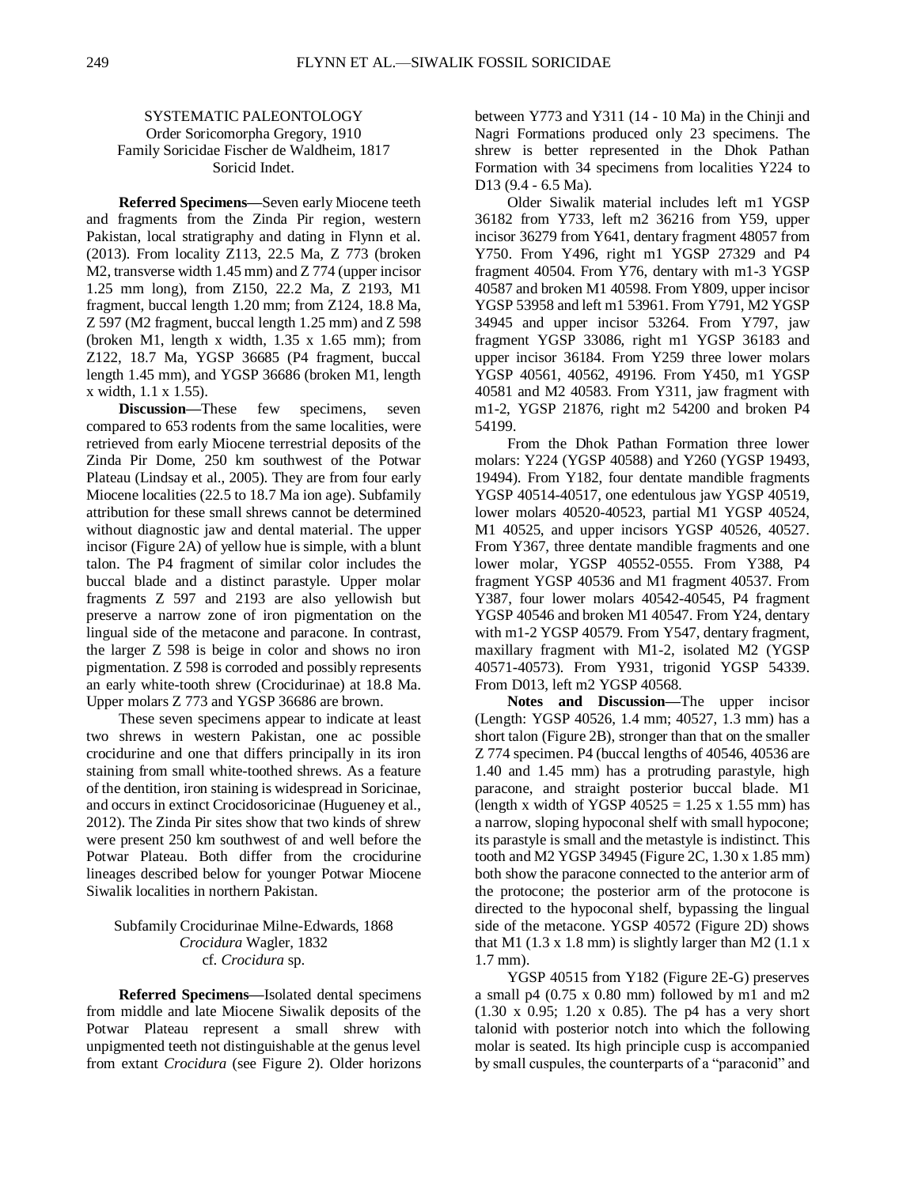# SYSTEMATIC PALEONTOLOGY Order Soricomorpha Gregory, 1910 Family Soricidae Fischer de Waldheim, 1817 Soricid Indet.

**Referred Specimens—**Seven early Miocene teeth and fragments from the Zinda Pir region, western Pakistan, local stratigraphy and dating in Flynn et al. (2013). From locality Z113, 22.5 Ma, Z 773 (broken M2, transverse width 1.45 mm) and Z 774 (upper incisor 1.25 mm long), from Z150, 22.2 Ma, Z 2193, M1 fragment, buccal length 1.20 mm; from Z124, 18.8 Ma, Z 597 (M2 fragment, buccal length 1.25 mm) and Z 598 (broken M1, length x width,  $1.35 \times 1.65$  mm); from Z122, 18.7 Ma, YGSP 36685 (P4 fragment, buccal length 1.45 mm), and YGSP 36686 (broken M1, length x width, 1.1 x 1.55).

**Discussion—These** few specimens, seven compared to 653 rodents from the same localities, were retrieved from early Miocene terrestrial deposits of the Zinda Pir Dome, 250 km southwest of the Potwar Plateau (Lindsay et al., 2005). They are from four early Miocene localities (22.5 to 18.7 Ma ion age). Subfamily attribution for these small shrews cannot be determined without diagnostic jaw and dental material. The upper incisor (Figure 2A) of yellow hue is simple, with a blunt talon. The P4 fragment of similar color includes the buccal blade and a distinct parastyle. Upper molar fragments Z 597 and 2193 are also yellowish but preserve a narrow zone of iron pigmentation on the lingual side of the metacone and paracone. In contrast, the larger Z 598 is beige in color and shows no iron pigmentation. Z 598 is corroded and possibly represents an early white-tooth shrew (Crocidurinae) at 18.8 Ma. Upper molars Z 773 and YGSP 36686 are brown.

These seven specimens appear to indicate at least two shrews in western Pakistan, one ac possible crocidurine and one that differs principally in its iron staining from small white-toothed shrews. As a feature of the dentition, iron staining is widespread in Soricinae, and occurs in extinct Crocidosoricinae (Hugueney et al., 2012). The Zinda Pir sites show that two kinds of shrew were present 250 km southwest of and well before the Potwar Plateau. Both differ from the crocidurine lineages described below for younger Potwar Miocene Siwalik localities in northern Pakistan.

# Subfamily Crocidurinae Milne-Edwards, 1868 *Crocidura* Wagler, 1832 cf. *Crocidura* sp.

**Referred Specimens—**Isolated dental specimens from middle and late Miocene Siwalik deposits of the Potwar Plateau represent a small shrew with unpigmented teeth not distinguishable at the genus level from extant *Crocidura* (see Figure 2). Older horizons between Y773 and Y311 (14 - 10 Ma) in the Chinji and Nagri Formations produced only 23 specimens. The shrew is better represented in the Dhok Pathan Formation with 34 specimens from localities Y224 to D13 (9.4 - 6.5 Ma).

Older Siwalik material includes left m1 YGSP 36182 from Y733, left m2 36216 from Y59, upper incisor 36279 from Y641, dentary fragment 48057 from Y750. From Y496, right m1 YGSP 27329 and P4 fragment 40504. From Y76, dentary with m1-3 YGSP 40587 and broken M1 40598. From Y809, upper incisor YGSP 53958 and left m1 53961. From Y791, M2 YGSP 34945 and upper incisor 53264. From Y797, jaw fragment YGSP 33086, right m1 YGSP 36183 and upper incisor 36184. From Y259 three lower molars YGSP 40561, 40562, 49196. From Y450, m1 YGSP 40581 and M2 40583. From Y311, jaw fragment with m1-2, YGSP 21876, right m2 54200 and broken P4 54199.

From the Dhok Pathan Formation three lower molars: Y224 (YGSP 40588) and Y260 (YGSP 19493, 19494). From Y182, four dentate mandible fragments YGSP 40514-40517, one edentulous jaw YGSP 40519, lower molars 40520-40523, partial M1 YGSP 40524, M1 40525, and upper incisors YGSP 40526, 40527. From Y367, three dentate mandible fragments and one lower molar, YGSP 40552-0555. From Y388, P4 fragment YGSP 40536 and M1 fragment 40537. From Y387, four lower molars 40542-40545, P4 fragment YGSP 40546 and broken M1 40547. From Y24, dentary with m1-2 YGSP 40579. From Y547, dentary fragment, maxillary fragment with M1-2, isolated M2 (YGSP 40571-40573). From Y931, trigonid YGSP 54339. From D013, left m2 YGSP 40568.

**Notes and Discussion—**The upper incisor (Length: YGSP 40526, 1.4 mm; 40527, 1.3 mm) has a short talon (Figure 2B), stronger than that on the smaller Z 774 specimen. P4 (buccal lengths of 40546, 40536 are 1.40 and 1.45 mm) has a protruding parastyle, high paracone, and straight posterior buccal blade. M1 (length x width of YGSP  $40525 = 1.25$  x 1.55 mm) has a narrow, sloping hypoconal shelf with small hypocone; its parastyle is small and the metastyle is indistinct. This tooth and M2 YGSP 34945 (Figure 2C, 1.30 x 1.85 mm) both show the paracone connected to the anterior arm of the protocone; the posterior arm of the protocone is directed to the hypoconal shelf, bypassing the lingual side of the metacone. YGSP 40572 (Figure 2D) shows that M1 (1.3 x 1.8 mm) is slightly larger than M2 (1.1 x 1.7 mm).

YGSP 40515 from Y182 (Figure 2E-G) preserves a small p4 (0.75 x 0.80 mm) followed by m1 and m2 (1.30 x 0.95; 1.20 x 0.85). The p4 has a very short talonid with posterior notch into which the following molar is seated. Its high principle cusp is accompanied by small cuspules, the counterparts of a "paraconid" and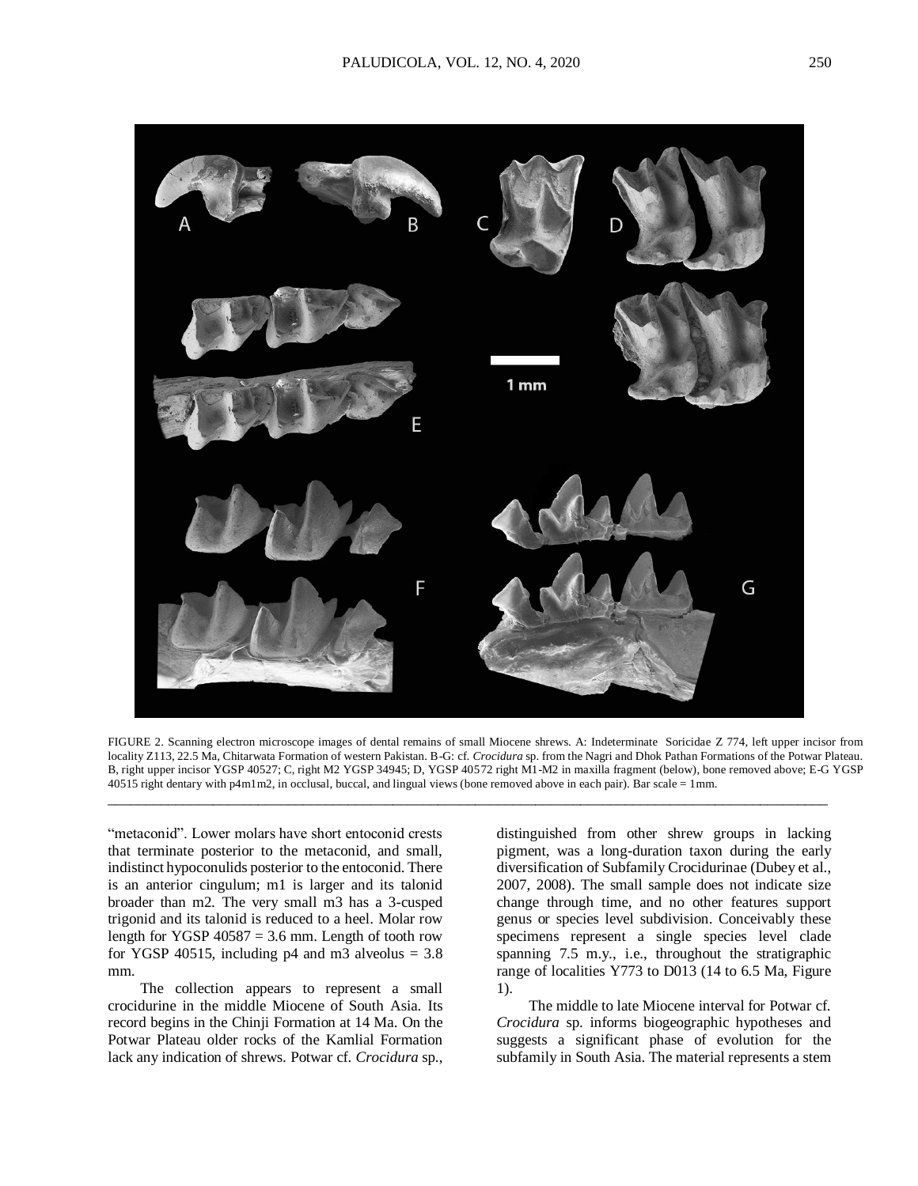



"metaconid". Lower molars have short entoconid crests that terminate posterior to the metaconid, and small, indistinct hypoconulids posterior to the entoconid. There is an anterior cingulum; m1 is larger and its talonid broader than m2. The very small m3 has a 3-cusped trigonid and its talonid is reduced to a heel. Molar row length for YGSP  $40587 = 3.6$  mm. Length of tooth row for YGSP 40515, including  $p4$  and m3 alveolus = 3.8 mm.

The collection appears to represent a small crocidurine in the middle Miocene of South Asia. Its record begins in the Chinji Formation at 14 Ma. On the Potwar Plateau older rocks of the Kamlial Formation lack any indication of shrews. Potwar cf. *Crocidura* sp., distinguished from other shrew groups in lacking pigment, was a long-duration taxon during the early diversification of Subfamily Crocidurinae (Dubey et al., 2007, 2008). The small sample does not indicate size change through time, and no other features support genus or species level subdivision. Conceivably these specimens represent a single species level clade spanning 7.5 m.y., i.e., throughout the stratigraphic range of localities Y773 to D013 (14 to 6.5 Ma, Figure 1).

The middle to late Miocene interval for Potwar cf. *Crocidura* sp. informs biogeographic hypotheses and suggests a significant phase of evolution for the subfamily in South Asia. The material represents a stem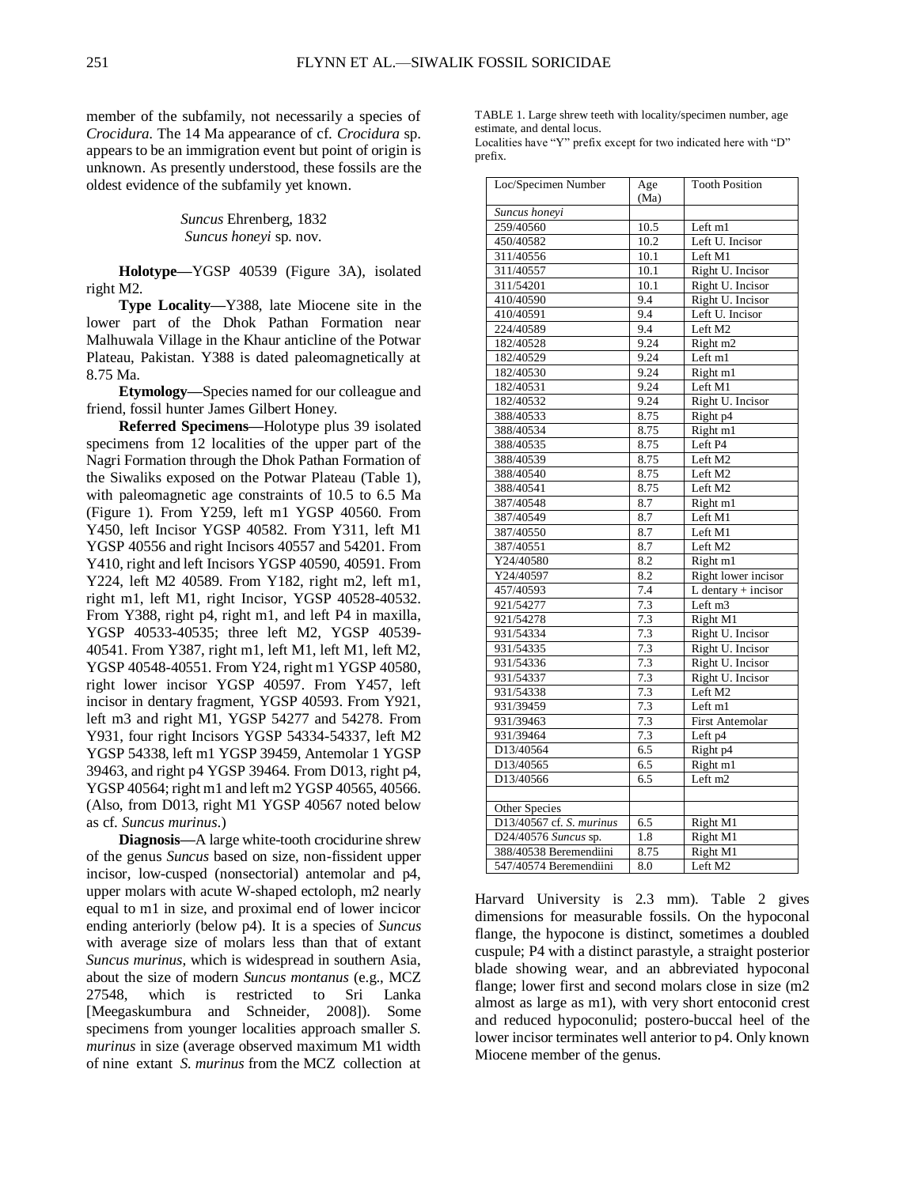member of the subfamily, not necessarily a species of *Crocidura*. The 14 Ma appearance of cf. *Crocidura* sp. appears to be an immigration event but point of origin is unknown. As presently understood, these fossils are the oldest evidence of the subfamily yet known.

> *Suncus* Ehrenberg, 1832 *Suncus honeyi* sp. nov.

**Holotype—**YGSP 40539 (Figure 3A), isolated right M2.

**Type Locality—**Y388, late Miocene site in the lower part of the Dhok Pathan Formation near Malhuwala Village in the Khaur anticline of the Potwar Plateau, Pakistan. Y388 is dated paleomagnetically at 8.75 Ma.

**Etymology—**Species named for our colleague and friend, fossil hunter James Gilbert Honey.

**Referred Specimens—**Holotype plus 39 isolated specimens from 12 localities of the upper part of the Nagri Formation through the Dhok Pathan Formation of the Siwaliks exposed on the Potwar Plateau (Table 1), with paleomagnetic age constraints of 10.5 to 6.5 Ma (Figure 1). From Y259, left m1 YGSP 40560. From Y450, left Incisor YGSP 40582. From Y311, left M1 YGSP 40556 and right Incisors 40557 and 54201. From Y410, right and left Incisors YGSP 40590, 40591. From Y224, left M2 40589. From Y182, right m2, left m1, right m1, left M1, right Incisor, YGSP 40528-40532. From Y388, right p4, right m1, and left P4 in maxilla, YGSP 40533-40535; three left M2, YGSP 40539- 40541. From Y387, right m1, left M1, left M1, left M2, YGSP 40548-40551. From Y24, right m1 YGSP 40580, right lower incisor YGSP 40597. From Y457, left incisor in dentary fragment, YGSP 40593. From Y921, left m3 and right M1, YGSP 54277 and 54278. From Y931, four right Incisors YGSP 54334-54337, left M2 YGSP 54338, left m1 YGSP 39459, Antemolar 1 YGSP 39463, and right p4 YGSP 39464. From D013, right p4, YGSP 40564; right m1 and left m2 YGSP 40565, 40566. (Also, from D013, right M1 YGSP 40567 noted below as cf. *Suncus murinus*.)

**Diagnosis—**A large white-tooth crocidurine shrew of the genus *Suncus* based on size, non-fissident upper incisor, low-cusped (nonsectorial) antemolar and p4, upper molars with acute W-shaped ectoloph, m2 nearly equal to m1 in size, and proximal end of lower incicor ending anteriorly (below p4). It is a species of *Suncus* with average size of molars less than that of extant *Suncus murinus*, which is widespread in southern Asia, about the size of modern *Suncus montanus* (e.g., MCZ 27548, which is restricted to Sri Lanka [Meegaskumbura and Schneider, 2008]). Some specimens from younger localities approach smaller *S. murinus* in size (average observed maximum M1 width of nine extant *S. murinus* from the MCZ collection at

TABLE 1. Large shrew teeth with locality/specimen number, age estimate, and dental locus.

Localities have "Y" prefix except for two indicated here with "D" prefix.

| Loc/Specimen Number      | Age  | <b>Tooth Position</b>  |  |
|--------------------------|------|------------------------|--|
|                          | (Ma) |                        |  |
| Suncus honevi            |      |                        |  |
| 259/40560                | 10.5 | Left m1                |  |
| 450/40582                | 10.2 | Left U. Incisor        |  |
| 311/40556                | 10.1 | Left M1                |  |
| 311/40557                | 10.1 | Right U. Incisor       |  |
| 311/54201                | 10.1 | Right U. Incisor       |  |
| 410/40590                | 9.4  | Right U. Incisor       |  |
| 410/40591                | 9.4  | Left U. Incisor        |  |
| 224/40589                | 9.4  | Left M2                |  |
| 182/40528                | 9.24 | Right m2               |  |
| 182/40529                | 9.24 | Left m1                |  |
| 182/40530                | 9.24 | Right m1               |  |
| 182/40531                | 9.24 | Left M1                |  |
| 182/40532                | 9.24 | Right U. Incisor       |  |
| 388/40533                | 8.75 | Right p4               |  |
| 388/40534                | 8.75 | Right m1               |  |
| 388/40535                | 8.75 | Left <sub>P4</sub>     |  |
| 388/40539                | 8.75 | Left M2                |  |
| 388/40540                | 8.75 | Left M2                |  |
| 388/40541                | 8.75 | Left M2                |  |
| 387/40548                | 8.7  | Right m1               |  |
| 387/40549                | 8.7  | Left M1                |  |
| 387/40550                | 8.7  | Left M1                |  |
| 387/40551                | 8.7  | Left M2                |  |
| Y24/40580                | 8.2  | Right m1               |  |
| Y24/40597                | 8.2  | Right lower incisor    |  |
| 457/40593                | 7.4  | $L$ dentary + incisor  |  |
| 921/54277                | 7.3  | Left m3                |  |
| 921/54278                | 7.3  | Right M1               |  |
| 931/54334                | 7.3  | Right U. Incisor       |  |
| 931/54335                | 7.3  | Right U. Incisor       |  |
| 931/54336                | 7.3  | Right U. Incisor       |  |
| 931/54337                | 7.3  | Right U. Incisor       |  |
| 931/54338                | 7.3  | Left M2                |  |
| 931/39459                | 7.3  | Left $ml$              |  |
| 931/39463                | 7.3  | <b>First Antemolar</b> |  |
| 931/39464                | 7.3  | Left p4                |  |
| D13/40564                | 6.5  | Right p4               |  |
| D13/40565                | 6.5  | Right m1               |  |
| D13/40566                | 6.5  | Left m2                |  |
|                          |      |                        |  |
| Other Species            |      |                        |  |
| D13/40567 cf. S. murinus | 6.5  | Right M1               |  |
| D24/40576 Suncus sp.     | 1.8  | Right M1               |  |
| 388/40538 Beremendiini   | 8.75 | Right M1               |  |
| 547/40574 Beremendiini   | 8.0  | Left M2                |  |

Harvard University is 2.3 mm). Table 2 gives dimensions for measurable fossils. On the hypoconal flange, the hypocone is distinct, sometimes a doubled cuspule; P4 with a distinct parastyle, a straight posterior blade showing wear, and an abbreviated hypoconal flange; lower first and second molars close in size (m2 almost as large as m1), with very short entoconid crest and reduced hypoconulid; postero-buccal heel of the lower incisor terminates well anterior to p4. Only known Miocene member of the genus.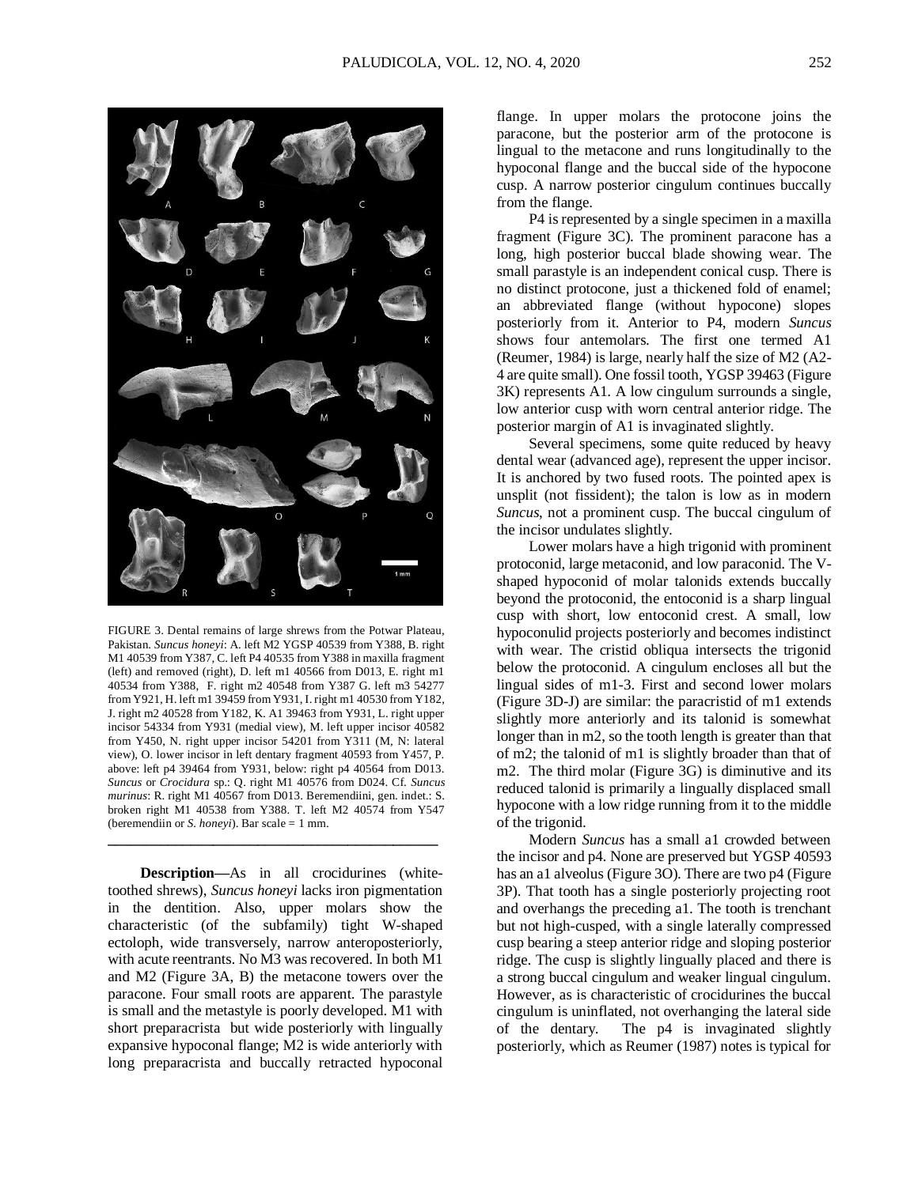

FIGURE 3. Dental remains of large shrews from the Potwar Plateau, Pakistan. *Suncus honeyi*: A. left M2 YGSP 40539 from Y388, B. right M1 40539 from Y387, C. left P4 40535 from Y388 in maxilla fragment (left) and removed (right), D. left m1 40566 from D013, E. right m1 40534 from Y388, F. right m2 40548 from Y387 G. left m3 54277 from Y921, H. left m1 39459 from Y931, I. right m1 40530 from Y182, J. right m2 40528 from Y182, K. A1 39463 from Y931, L. right upper incisor 54334 from Y931 (medial view), M. left upper incisor 40582 from Y450, N. right upper incisor 54201 from Y311 (M, N: lateral view), O. lower incisor in left dentary fragment 40593 from Y457, P. above: left p4 39464 from Y931, below: right p4 40564 from D013. *Suncus* or *Crocidura* sp.: Q. right M1 40576 from D024. Cf. *Suncus murinus*: R. right M1 40567 from D013. Beremendiini, gen. indet.: S. broken right M1 40538 from Y388. T. left M2 40574 from Y547 (beremendiin or *S. honeyi*). Bar scale = 1 mm.

**\_\_\_\_\_\_\_\_\_\_\_\_\_\_\_\_\_\_\_\_\_\_\_\_\_\_\_\_\_\_\_\_\_\_\_\_\_\_\_\_\_\_\_\_**

**Description—**As in all crocidurines (whitetoothed shrews), *Suncus honeyi* lacks iron pigmentation in the dentition. Also, upper molars show the characteristic (of the subfamily) tight W-shaped ectoloph, wide transversely, narrow anteroposteriorly, with acute reentrants. No M3 was recovered. In both M1 and M2 (Figure 3A, B) the metacone towers over the paracone. Four small roots are apparent. The parastyle is small and the metastyle is poorly developed. M1 with short preparacrista but wide posteriorly with lingually expansive hypoconal flange; M2 is wide anteriorly with long preparacrista and buccally retracted hypoconal

flange. In upper molars the protocone joins the paracone, but the posterior arm of the protocone is lingual to the metacone and runs longitudinally to the hypoconal flange and the buccal side of the hypocone cusp. A narrow posterior cingulum continues buccally from the flange.

P4 is represented by a single specimen in a maxilla fragment (Figure 3C). The prominent paracone has a long, high posterior buccal blade showing wear. The small parastyle is an independent conical cusp. There is no distinct protocone, just a thickened fold of enamel; an abbreviated flange (without hypocone) slopes posteriorly from it. Anterior to P4, modern *Suncus* shows four antemolars. The first one termed A1 (Reumer, 1984) is large, nearly half the size of M2 (A2- 4 are quite small). One fossil tooth, YGSP 39463 (Figure 3K) represents A1. A low cingulum surrounds a single, low anterior cusp with worn central anterior ridge. The posterior margin of A1 is invaginated slightly.

Several specimens, some quite reduced by heavy dental wear (advanced age), represent the upper incisor. It is anchored by two fused roots. The pointed apex is unsplit (not fissident); the talon is low as in modern *Suncus*, not a prominent cusp. The buccal cingulum of the incisor undulates slightly.

Lower molars have a high trigonid with prominent protoconid, large metaconid, and low paraconid. The Vshaped hypoconid of molar talonids extends buccally beyond the protoconid, the entoconid is a sharp lingual cusp with short, low entoconid crest. A small, low hypoconulid projects posteriorly and becomes indistinct with wear. The cristid obliqua intersects the trigonid below the protoconid. A cingulum encloses all but the lingual sides of m1-3. First and second lower molars (Figure 3D-J) are similar: the paracristid of m1 extends slightly more anteriorly and its talonid is somewhat longer than in m2, so the tooth length is greater than that of m2; the talonid of m1 is slightly broader than that of m2. The third molar (Figure 3G) is diminutive and its reduced talonid is primarily a lingually displaced small hypocone with a low ridge running from it to the middle of the trigonid.

Modern *Suncus* has a small a1 crowded between the incisor and p4. None are preserved but YGSP 40593 has an a1 alveolus (Figure 3O). There are two p4 (Figure 3P). That tooth has a single posteriorly projecting root and overhangs the preceding a1. The tooth is trenchant but not high-cusped, with a single laterally compressed cusp bearing a steep anterior ridge and sloping posterior ridge. The cusp is slightly lingually placed and there is a strong buccal cingulum and weaker lingual cingulum. However, as is characteristic of crocidurines the buccal cingulum is uninflated, not overhanging the lateral side of the dentary. The p4 is invaginated slightly posteriorly, which as Reumer (1987) notes is typical for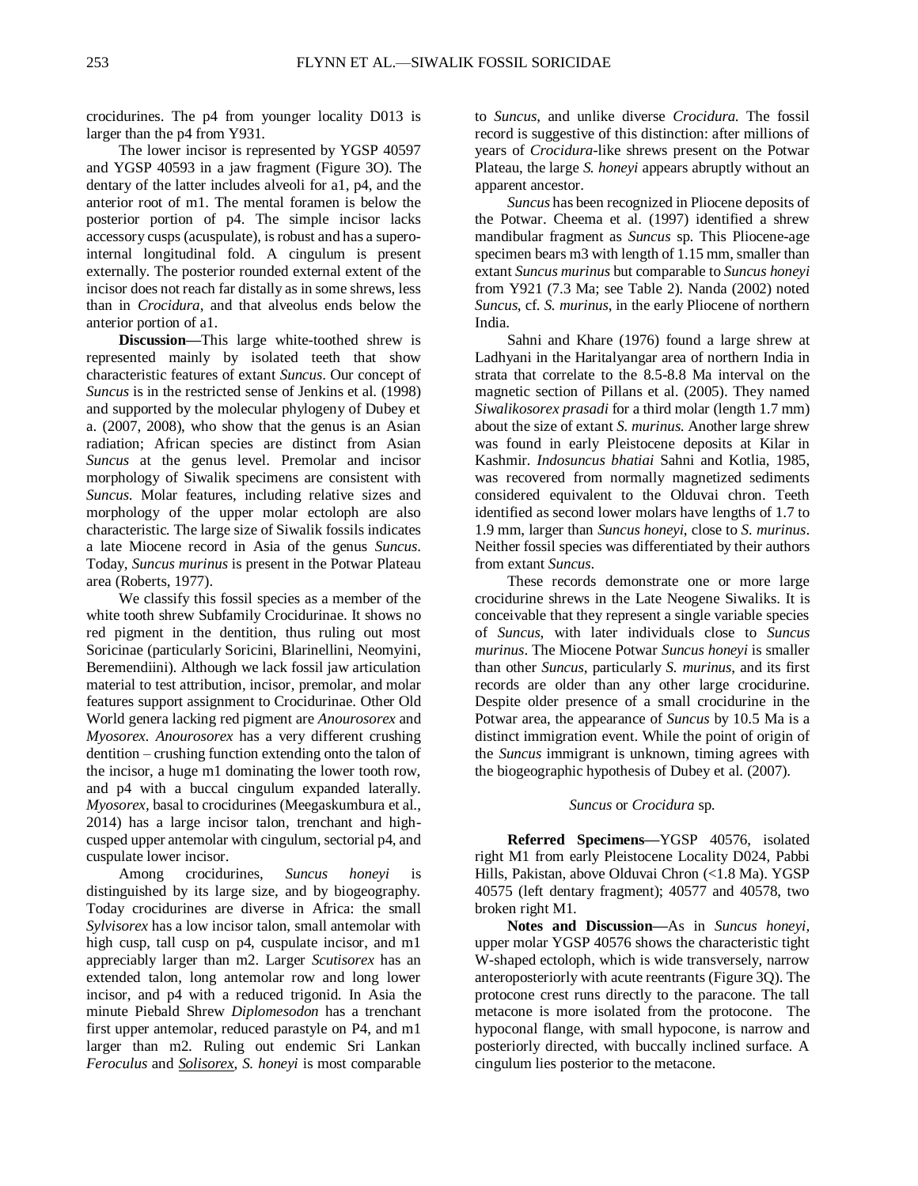crocidurines. The p4 from younger locality D013 is larger than the p4 from Y931.

The lower incisor is represented by YGSP 40597 and YGSP 40593 in a jaw fragment (Figure 3O). The dentary of the latter includes alveoli for a1, p4, and the anterior root of m1. The mental foramen is below the posterior portion of p4. The simple incisor lacks accessory cusps (acuspulate), is robust and has a superointernal longitudinal fold. A cingulum is present externally. The posterior rounded external extent of the incisor does not reach far distally as in some shrews, less than in *Crocidura*, and that alveolus ends below the anterior portion of a1.

**Discussion—**This large white-toothed shrew is represented mainly by isolated teeth that show characteristic features of extant *Suncus*. Our concept of *Suncus* is in the restricted sense of Jenkins et al. (1998) and supported by the molecular phylogeny of Dubey et a. (2007, 2008), who show that the genus is an Asian radiation; African species are distinct from Asian *Suncus* at the genus level. Premolar and incisor morphology of Siwalik specimens are consistent with *Suncus*. Molar features, including relative sizes and morphology of the upper molar ectoloph are also characteristic. The large size of Siwalik fossils indicates a late Miocene record in Asia of the genus *Suncus*. Today, *Suncus murinus* is present in the Potwar Plateau area (Roberts, 1977).

We classify this fossil species as a member of the white tooth shrew Subfamily Crocidurinae. It shows no red pigment in the dentition, thus ruling out most Soricinae (particularly Soricini, Blarinellini, Neomyini, Beremendiini). Although we lack fossil jaw articulation material to test attribution, incisor, premolar, and molar features support assignment to Crocidurinae. Other Old World genera lacking red pigment are *Anourosorex* and *Myosorex. Anourosorex* has a very different crushing dentition – crushing function extending onto the talon of the incisor, a huge m1 dominating the lower tooth row, and p4 with a buccal cingulum expanded laterally. *Myosorex,* basal to crocidurines (Meegaskumbura et al., 2014) has a large incisor talon, trenchant and highcusped upper antemolar with cingulum, sectorial p4, and cuspulate lower incisor.

Among crocidurines, *Suncus honeyi* is distinguished by its large size, and by biogeography. Today crocidurines are diverse in Africa: the small *Sylvisorex* has a low incisor talon, small antemolar with high cusp, tall cusp on p4, cuspulate incisor, and m1 appreciably larger than m2. Larger *Scutisorex* has an extended talon, long antemolar row and long lower incisor, and p4 with a reduced trigonid. In Asia the minute Piebald Shrew *Diplomesodon* has a trenchant first upper antemolar, reduced parastyle on P4, and m1 larger than m2. Ruling out endemic Sri Lankan *Feroculus* and *Solisorex*, *S. honeyi* is most comparable

to *Suncus*, and unlike diverse *Crocidura*. The fossil record is suggestive of this distinction: after millions of years of *Crocidura*-like shrews present on the Potwar Plateau, the large *S. honeyi* appears abruptly without an apparent ancestor.

*Suncus* has been recognized in Pliocene deposits of the Potwar. Cheema et al. (1997) identified a shrew mandibular fragment as *Suncus* sp. This Pliocene-age specimen bears m3 with length of 1.15 mm, smaller than extant *Suncus murinus* but comparable to *Suncus honeyi* from Y921 (7.3 Ma; see Table 2). Nanda (2002) noted *Suncus*, cf. *S. murinus*, in the early Pliocene of northern India.

Sahni and Khare (1976) found a large shrew at Ladhyani in the Haritalyangar area of northern India in strata that correlate to the 8.5-8.8 Ma interval on the magnetic section of Pillans et al. (2005). They named *Siwalikosorex prasadi* for a third molar (length 1.7 mm) about the size of extant *S. murinus*. Another large shrew was found in early Pleistocene deposits at Kilar in Kashmir. *Indosuncus bhatiai* Sahni and Kotlia, 1985, was recovered from normally magnetized sediments considered equivalent to the Olduvai chron. Teeth identified as second lower molars have lengths of 1.7 to 1.9 mm, larger than *Suncus honeyi*, close to *S. murinus*. Neither fossil species was differentiated by their authors from extant *Suncus*.

These records demonstrate one or more large crocidurine shrews in the Late Neogene Siwaliks. It is conceivable that they represent a single variable species of *Suncus*, with later individuals close to *Suncus murinus*. The Miocene Potwar *Suncus honeyi* is smaller than other *Suncus*, particularly *S. murinus*, and its first records are older than any other large crocidurine. Despite older presence of a small crocidurine in the Potwar area, the appearance of *Suncus* by 10.5 Ma is a distinct immigration event. While the point of origin of the *Suncus* immigrant is unknown, timing agrees with the biogeographic hypothesis of Dubey et al. (2007).

## *Suncus* or *Crocidura* sp.

**Referred Specimens—**YGSP 40576, isolated right M1 from early Pleistocene Locality D024, Pabbi Hills, Pakistan, above Olduvai Chron (<1.8 Ma). YGSP 40575 (left dentary fragment); 40577 and 40578, two broken right M1.

**Notes and Discussion—**As in *Suncus honeyi,* upper molar YGSP 40576 shows the characteristic tight W-shaped ectoloph, which is wide transversely, narrow anteroposteriorly with acute reentrants (Figure 3Q). The protocone crest runs directly to the paracone. The tall metacone is more isolated from the protocone. The hypoconal flange, with small hypocone, is narrow and posteriorly directed, with buccally inclined surface. A cingulum lies posterior to the metacone.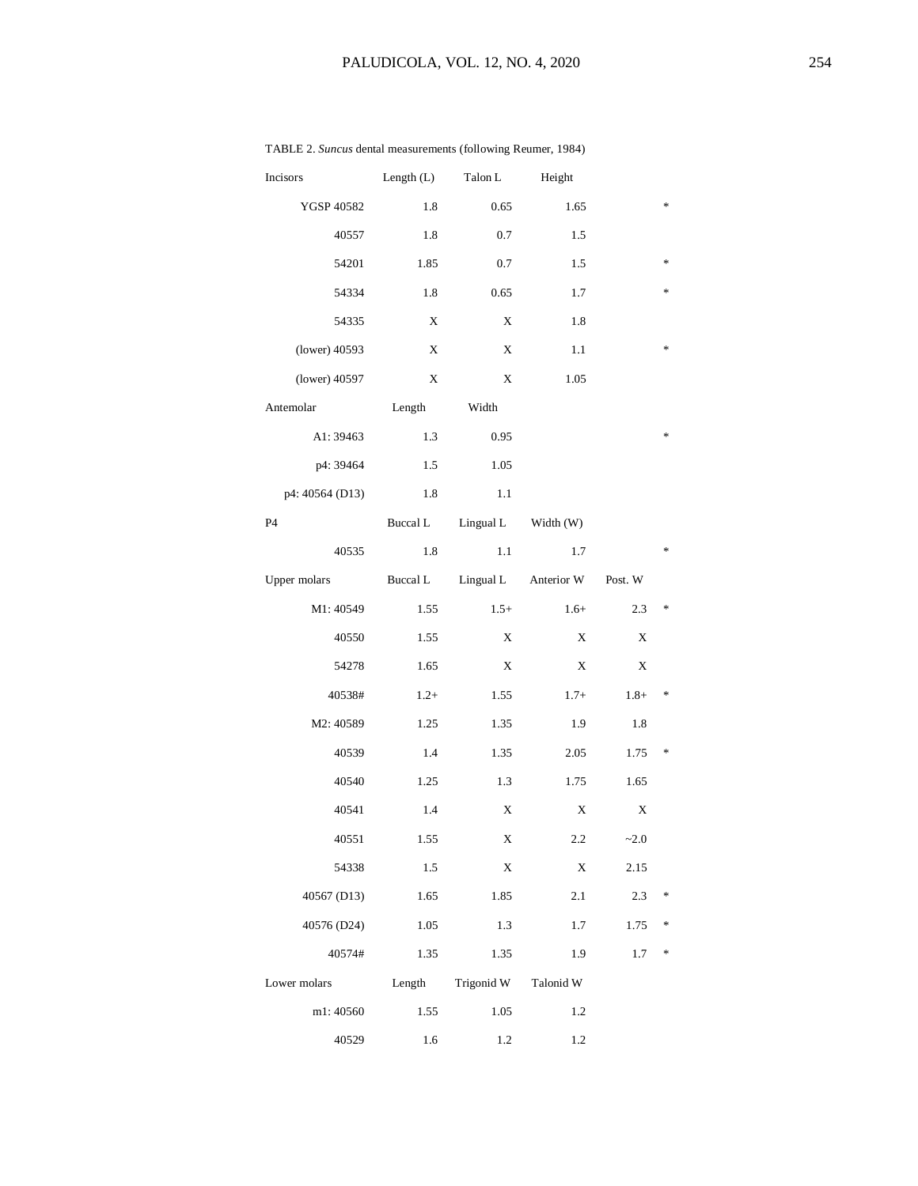| Incisors        | Length $(L)$ | Talon L    | Height     |                   |                                   |
|-----------------|--------------|------------|------------|-------------------|-----------------------------------|
| YGSP 40582      | 1.8          | 0.65       | 1.65       |                   | $\frac{1}{2}$                     |
| 40557           | 1.8          | 0.7        | 1.5        |                   |                                   |
| 54201           | 1.85         | 0.7        | 1.5        |                   | 冰                                 |
| 54334           | 1.8          | 0.65       | 1.7        |                   | *                                 |
| 54335           | X            | X          | 1.8        |                   |                                   |
| (lower) 40593   | X            | Χ          | 1.1        |                   | *                                 |
| (lower) 40597   | X            | Χ          | 1.05       |                   |                                   |
| Antemolar       | Length       | Width      |            |                   |                                   |
| A1: 39463       | 1.3          | 0.95       |            |                   | *                                 |
| p4: 39464       | 1.5          | 1.05       |            |                   |                                   |
| p4: 40564 (D13) | 1.8          | 1.1        |            |                   |                                   |
| P <sub>4</sub>  | Buccal L     | Lingual L  | Width (W)  |                   |                                   |
| 40535           | 1.8          | 1.1        | 1.7        |                   | $\frac{1}{2}$                     |
| Upper molars    | Buccal L     | Lingual L  | Anterior W | Post. $\mathbf W$ |                                   |
| M1: 40549       | 1.55         | $1.5+$     | $1.6+$     | 2.3               | $\frac{d\mathbf{r}}{d\mathbf{r}}$ |
| 40550           | 1.55         | Χ          | X          | Χ                 |                                   |
| 54278           | 1.65         | X          | X          | Χ                 |                                   |
| 40538#          | $1.2+$       | 1.55       | $1.7+$     | $1.8+$            | $\frac{d\mathbf{r}}{d\mathbf{r}}$ |
| M2: 40589       | 1.25         | 1.35       | 1.9        | 1.8               |                                   |
| 40539           | 1.4          | 1.35       | 2.05       | 1.75              | $\frac{d\mathbf{r}}{d\mathbf{r}}$ |
| 40540           | 1.25         | 1.3        | 1.75       | 1.65              |                                   |
| 40541           | 1.4          | X          | X          | X                 |                                   |
| 40551           | 1.55         | X          | 2.2        | $-2.0$            |                                   |
| 54338           | 1.5          | X          | X          | 2.15              |                                   |
| 40567 (D13)     | 1.65         | 1.85       | 2.1        | 2.3               | *                                 |
| 40576 (D24)     | 1.05         | 1.3        | 1.7        | 1.75              | $\ast$                            |
| 40574#          | 1.35         | 1.35       | 1.9        | 1.7               | *                                 |
| Lower molars    | Length       | Trigonid W | Talonid W  |                   |                                   |
| m1:40560        | 1.55         | 1.05       | 1.2        |                   |                                   |
| 40529           | 1.6          | 1.2        | 1.2        |                   |                                   |

# TABLE 2. *Suncus* dental measurements (following Reumer, 1984)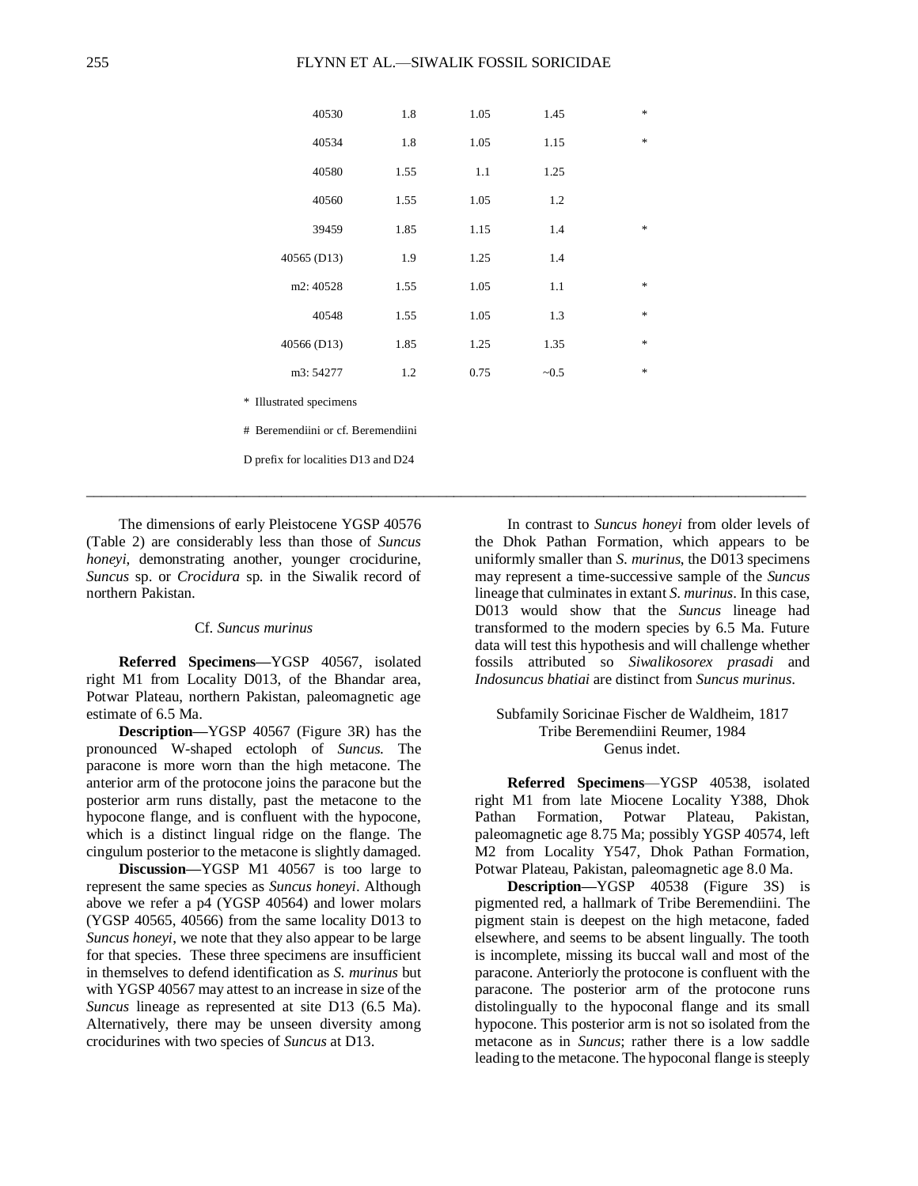| 40530                               | 1.8  | 1.05 | 1.45  | $\ast$ |  |  |  |
|-------------------------------------|------|------|-------|--------|--|--|--|
| 40534                               | 1.8  | 1.05 | 1.15  | $\ast$ |  |  |  |
| 40580                               | 1.55 | 1.1  | 1.25  |        |  |  |  |
| 40560                               | 1.55 | 1.05 | 1.2   |        |  |  |  |
| 39459                               | 1.85 | 1.15 | 1.4   | $\ast$ |  |  |  |
| 40565 (D13)                         | 1.9  | 1.25 | 1.4   |        |  |  |  |
| m2: 40528                           | 1.55 | 1.05 | 1.1   | $\ast$ |  |  |  |
| 40548                               | 1.55 | 1.05 | 1.3   | $\ast$ |  |  |  |
| 40566 (D13)                         | 1.85 | 1.25 | 1.35  | $\ast$ |  |  |  |
| m3: 54277                           | 1.2  | 0.75 | ~10.5 | $\ast$ |  |  |  |
| * Illustrated specimens             |      |      |       |        |  |  |  |
| # Beremendiini or cf. Beremendiini  |      |      |       |        |  |  |  |
| D prefix for localities D13 and D24 |      |      |       |        |  |  |  |
|                                     |      |      |       |        |  |  |  |

\_\_\_\_\_\_\_\_\_\_\_\_\_\_\_\_\_\_\_\_\_\_\_\_\_\_\_\_\_\_\_\_\_\_\_\_\_\_\_\_\_\_\_\_\_\_\_\_\_\_\_\_\_\_\_\_\_\_\_\_\_\_\_\_\_\_\_\_\_\_\_\_\_\_\_\_\_\_\_\_\_\_\_\_\_\_\_\_\_\_\_\_\_\_\_\_

The dimensions of early Pleistocene YGSP 40576 (Table 2) are considerably less than those of *Suncus honeyi*, demonstrating another, younger crocidurine, *Suncus* sp. or *Crocidura* sp. in the Siwalik record of northern Pakistan.

#  $B$ D pr

## Cf. *Suncus murinus*

**Referred Specimens—**YGSP 40567, isolated right M1 from Locality D013, of the Bhandar area, Potwar Plateau, northern Pakistan, paleomagnetic age estimate of 6.5 Ma.

**Description—**YGSP 40567 (Figure 3R) has the pronounced W-shaped ectoloph of *Suncus*. The paracone is more worn than the high metacone. The anterior arm of the protocone joins the paracone but the posterior arm runs distally, past the metacone to the hypocone flange, and is confluent with the hypocone, which is a distinct lingual ridge on the flange. The cingulum posterior to the metacone is slightly damaged.

**Discussion—**YGSP M1 40567 is too large to represent the same species as *Suncus honeyi*. Although above we refer a p4 (YGSP 40564) and lower molars (YGSP 40565, 40566) from the same locality D013 to *Suncus honeyi*, we note that they also appear to be large for that species. These three specimens are insufficient in themselves to defend identification as *S. murinus* but with YGSP 40567 may attest to an increase in size of the *Suncus* lineage as represented at site D13 (6.5 Ma). Alternatively, there may be unseen diversity among crocidurines with two species of *Suncus* at D13.

In contrast to *Suncus honeyi* from older levels of the Dhok Pathan Formation, which appears to be uniformly smaller than *S. murinus*, the D013 specimens may represent a time-successive sample of the *Suncus* lineage that culminates in extant *S. murinus*. In this case, D013 would show that the *Suncus* lineage had transformed to the modern species by 6.5 Ma. Future data will test this hypothesis and will challenge whether fossils attributed so *Siwalikosorex prasadi* and *Indosuncus bhatiai* are distinct from *Suncus murinus*.

## Subfamily Soricinae Fischer de Waldheim, 1817 Tribe Beremendiini Reumer, 1984 Genus indet.

**Referred Specimens**—YGSP 40538, isolated right M1 from late Miocene Locality Y388, Dhok Pathan Formation, Potwar Plateau, Pakistan, paleomagnetic age 8.75 Ma; possibly YGSP 40574, left M2 from Locality Y547, Dhok Pathan Formation, Potwar Plateau, Pakistan, paleomagnetic age 8.0 Ma.

**Description—**YGSP 40538 (Figure 3S) is pigmented red, a hallmark of Tribe Beremendiini. The pigment stain is deepest on the high metacone, faded elsewhere, and seems to be absent lingually. The tooth is incomplete, missing its buccal wall and most of the paracone. Anteriorly the protocone is confluent with the paracone. The posterior arm of the protocone runs distolingually to the hypoconal flange and its small hypocone. This posterior arm is not so isolated from the metacone as in *Suncus*; rather there is a low saddle leading to the metacone. The hypoconal flange is steeply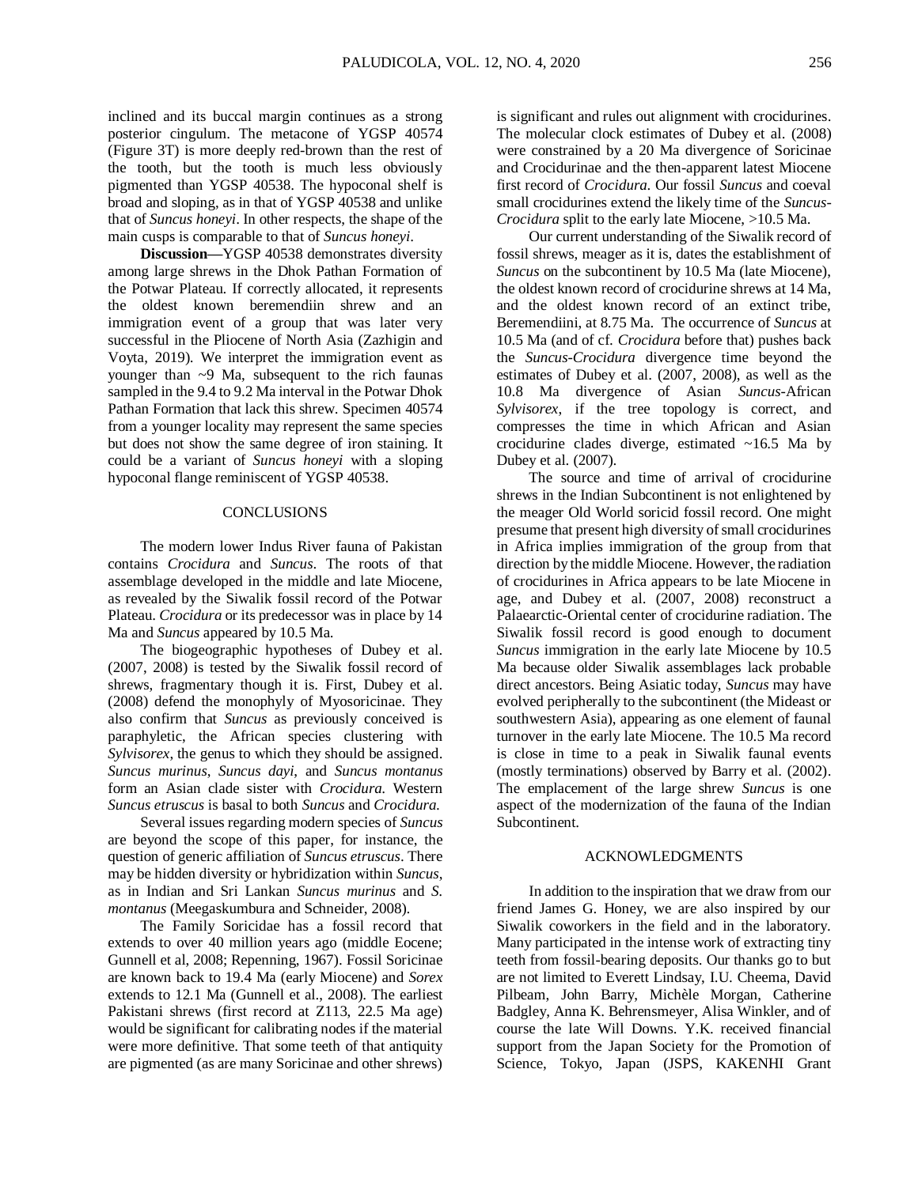inclined and its buccal margin continues as a strong posterior cingulum. The metacone of YGSP 40574 (Figure 3T) is more deeply red-brown than the rest of the tooth, but the tooth is much less obviously pigmented than YGSP 40538. The hypoconal shelf is broad and sloping, as in that of YGSP 40538 and unlike that of *Suncus honeyi*. In other respects, the shape of the main cusps is comparable to that of *Suncus honeyi*.

**Discussion—**YGSP 40538 demonstrates diversity among large shrews in the Dhok Pathan Formation of the Potwar Plateau. If correctly allocated, it represents the oldest known beremendiin shrew and an immigration event of a group that was later very successful in the Pliocene of North Asia (Zazhigin and Voyta, 2019). We interpret the immigration event as younger than ~9 Ma, subsequent to the rich faunas sampled in the 9.4 to 9.2 Ma interval in the Potwar Dhok Pathan Formation that lack this shrew. Specimen 40574 from a younger locality may represent the same species but does not show the same degree of iron staining. It could be a variant of *Suncus honeyi* with a sloping hypoconal flange reminiscent of YGSP 40538.

### CONCLUSIONS

The modern lower Indus River fauna of Pakistan contains *Crocidura* and *Suncus*. The roots of that assemblage developed in the middle and late Miocene, as revealed by the Siwalik fossil record of the Potwar Plateau. *Crocidura* or its predecessor was in place by 14 Ma and *Suncus* appeared by 10.5 Ma.

The biogeographic hypotheses of Dubey et al. (2007, 2008) is tested by the Siwalik fossil record of shrews, fragmentary though it is. First, Dubey et al. (2008) defend the monophyly of Myosoricinae. They also confirm that *Suncus* as previously conceived is paraphyletic, the African species clustering with *Sylvisorex*, the genus to which they should be assigned. *Suncus murinus*, *Suncus dayi*, and *Suncus montanus* form an Asian clade sister with *Crocidura*. Western *Suncus etruscus* is basal to both *Suncus* and *Crocidura*.

Several issues regarding modern species of *Suncus* are beyond the scope of this paper, for instance, the question of generic affiliation of *Suncus etruscus*. There may be hidden diversity or hybridization within *Suncus*, as in Indian and Sri Lankan *Suncus murinus* and *S. montanus* (Meegaskumbura and Schneider, 2008).

The Family Soricidae has a fossil record that extends to over 40 million years ago (middle Eocene; Gunnell et al, 2008; Repenning, 1967). Fossil Soricinae are known back to 19.4 Ma (early Miocene) and *Sorex* extends to 12.1 Ma (Gunnell et al., 2008). The earliest Pakistani shrews (first record at Z113, 22.5 Ma age) would be significant for calibrating nodes if the material were more definitive. That some teeth of that antiquity are pigmented (as are many Soricinae and other shrews)

is significant and rules out alignment with crocidurines. The molecular clock estimates of Dubey et al. (2008) were constrained by a 20 Ma divergence of Soricinae and Crocidurinae and the then-apparent latest Miocene first record of *Crocidura*. Our fossil *Suncus* and coeval small crocidurines extend the likely time of the *Suncus-Crocidura* split to the early late Miocene, >10.5 Ma.

Our current understanding of the Siwalik record of fossil shrews, meager as it is, dates the establishment of *Suncus* on the subcontinent by 10.5 Ma (late Miocene), the oldest known record of crocidurine shrews at 14 Ma, and the oldest known record of an extinct tribe, Beremendiini, at 8.75 Ma. The occurrence of *Suncus* at 10.5 Ma (and of cf. *Crocidura* before that) pushes back the *Suncus*-*Crocidura* divergence time beyond the estimates of Dubey et al. (2007, 2008), as well as the 10.8 Ma divergence of Asian *Suncus*-African *Sylvisorex*, if the tree topology is correct, and compresses the time in which African and Asian crocidurine clades diverge, estimated ~16.5 Ma by Dubey et al. (2007).

The source and time of arrival of crocidurine shrews in the Indian Subcontinent is not enlightened by the meager Old World soricid fossil record. One might presume that present high diversity of small crocidurines in Africa implies immigration of the group from that direction by the middle Miocene. However, the radiation of crocidurines in Africa appears to be late Miocene in age, and Dubey et al. (2007, 2008) reconstruct a Palaearctic-Oriental center of crocidurine radiation. The Siwalik fossil record is good enough to document *Suncus* immigration in the early late Miocene by 10.5 Ma because older Siwalik assemblages lack probable direct ancestors. Being Asiatic today, *Suncus* may have evolved peripherally to the subcontinent (the Mideast or southwestern Asia), appearing as one element of faunal turnover in the early late Miocene. The 10.5 Ma record is close in time to a peak in Siwalik faunal events (mostly terminations) observed by Barry et al. (2002). The emplacement of the large shrew *Suncus* is one aspect of the modernization of the fauna of the Indian Subcontinent.

### ACKNOWLEDGMENTS

In addition to the inspiration that we draw from our friend James G. Honey, we are also inspired by our Siwalik coworkers in the field and in the laboratory. Many participated in the intense work of extracting tiny teeth from fossil-bearing deposits. Our thanks go to but are not limited to Everett Lindsay, I.U. Cheema, David Pilbeam, John Barry, Michèle Morgan, Catherine Badgley, Anna K. Behrensmeyer, Alisa Winkler, and of course the late Will Downs. Y.K. received financial support from the Japan Society for the Promotion of Science, Tokyo, Japan (JSPS, KAKENHI Grant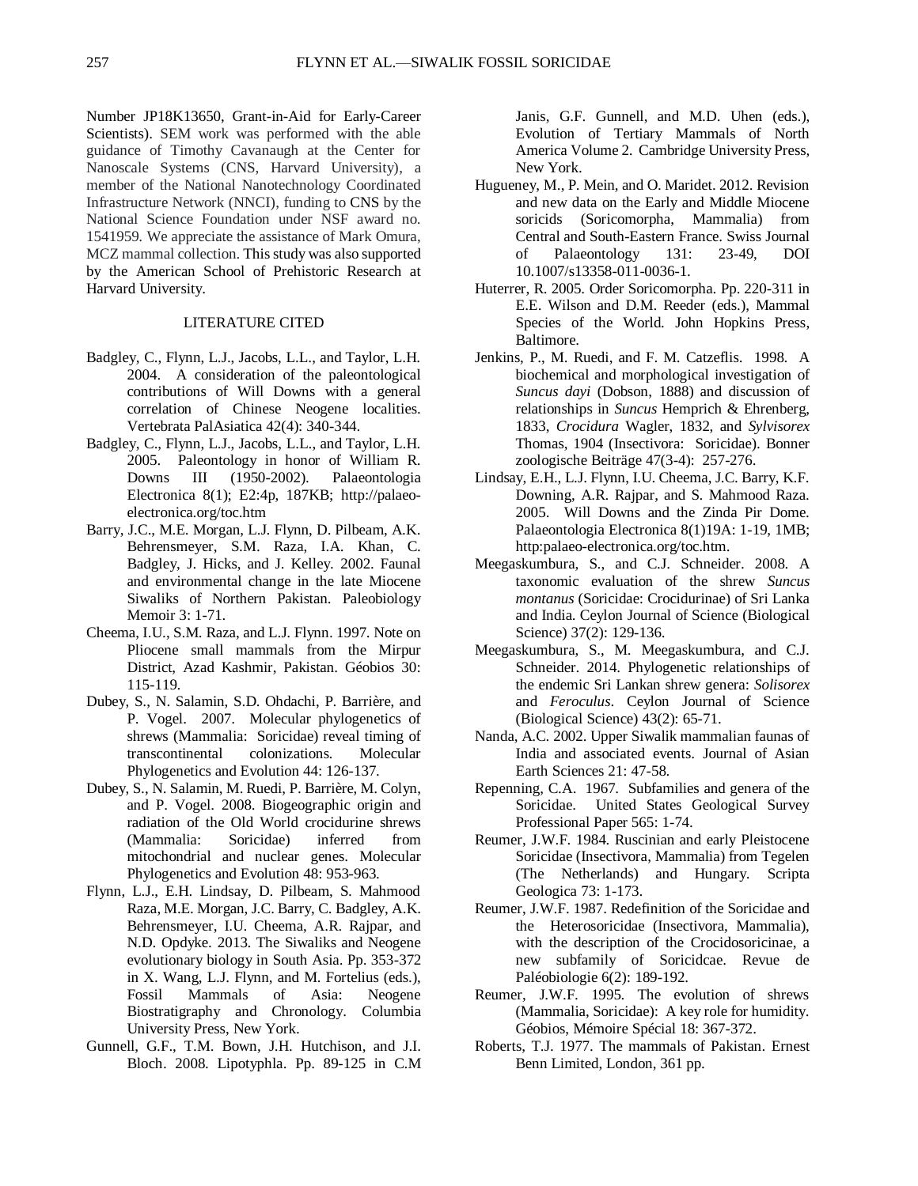Number JP18K13650, Grant-in-Aid for Early-Career Scientists). SEM work was performed with the able guidance of Timothy Cavanaugh at the Center for Nanoscale Systems (CNS, Harvard University), a member of the National Nanotechnology Coordinated Infrastructure Network (NNCI), funding to CNS by the National Science Foundation under NSF award no. 1541959. We appreciate the assistance of Mark Omura, MCZ mammal collection. This study was also supported by the American School of Prehistoric Research at Harvard University.

# LITERATURE CITED

- Badgley, C., Flynn, L.J., Jacobs, L.L., and Taylor, L.H. 2004. A consideration of the paleontological contributions of Will Downs with a general correlation of Chinese Neogene localities. Vertebrata PalAsiatica 42(4): 340-344.
- Badgley, C., Flynn, L.J., Jacobs, L.L., and Taylor, L.H. 2005. Paleontology in honor of William R. Downs III (1950-2002). Palaeontologia Electronica 8(1); E2:4p, 187KB; [http://palaeo](http://palaeo-electronica.org/toc.htm)[electronica.org/toc.htm](http://palaeo-electronica.org/toc.htm)
- Barry, J.C., M.E. Morgan, L.J. Flynn, D. Pilbeam, A.K. Behrensmeyer, S.M. Raza, I.A. Khan, C. Badgley, J. Hicks, and J. Kelley. 2002. Faunal and environmental change in the late Miocene Siwaliks of Northern Pakistan. Paleobiology Memoir 3: 1-71.
- Cheema, I.U., S.M. Raza, and L.J. Flynn. 1997. Note on Pliocene small mammals from the Mirpur District, Azad Kashmir, Pakistan. Géobios 30: 115-119.
- Dubey, S., N. Salamin, S.D. Ohdachi, P. Barrière, and P. Vogel. 2007. Molecular phylogenetics of shrews (Mammalia: Soricidae) reveal timing of transcontinental colonizations. Molecular Phylogenetics and Evolution 44: 126-137.
- Dubey, S., N. Salamin, M. Ruedi, P. Barrière, M. Colyn, and P. Vogel. 2008. Biogeographic origin and radiation of the Old World crocidurine shrews<br>(Mammalia: Soricidae) inferred from (Mammalia: Soricidae) inferred from mitochondrial and nuclear genes. Molecular Phylogenetics and Evolution 48: 953-963.
- Flynn, L.J., E.H. Lindsay, D. Pilbeam, S. Mahmood Raza, M.E. Morgan, J.C. Barry, C. Badgley, A.K. Behrensmeyer, I.U. Cheema, A.R. Rajpar, and N.D. Opdyke. 2013. The Siwaliks and Neogene evolutionary biology in South Asia. Pp. 353-372 in X. Wang, L.J. Flynn, and M. Fortelius (eds.), Fossil Mammals of Asia: Neogene Biostratigraphy and Chronology. Columbia University Press, New York.
- Gunnell, G.F., T.M. Bown, J.H. Hutchison, and J.I. Bloch. 2008. Lipotyphla. Pp. 89-125 in C.M

Janis, G.F. Gunnell, and M.D. Uhen (eds.), Evolution of Tertiary Mammals of North America Volume 2. Cambridge University Press, New York.

- Hugueney, M., P. Mein, and O. Maridet. 2012. Revision and new data on the Early and Middle Miocene soricids (Soricomorpha, Mammalia) from Central and South-Eastern France. Swiss Journal of Palaeontology 131: 23-49, DOI 10.1007/s13358-011-0036-1.
- Huterrer, R. 2005. Order Soricomorpha. Pp. 220-311 in E.E. Wilson and D.M. Reeder (eds.), Mammal Species of the World. John Hopkins Press, Baltimore.
- Jenkins, P., M. Ruedi, and F. M. Catzeflis. 1998. A biochemical and morphological investigation of *Suncus dayi* (Dobson, 1888) and discussion of relationships in *Suncus* Hemprich & Ehrenberg, 1833, *Crocidura* Wagler, 1832, and *Sylvisorex* Thomas, 1904 (Insectivora: Soricidae). Bonner zoologische Beiträge 47(3-4): 257-276.
- Lindsay, E.H., L.J. Flynn, I.U. Cheema, J.C. Barry, K.F. Downing, A.R. Rajpar, and S. Mahmood Raza. 2005. Will Downs and the Zinda Pir Dome. Palaeontologia Electronica 8(1)19A: 1-19, 1MB; http:palaeo-electronica.org/toc.htm.
- Meegaskumbura, S., and C.J. Schneider. 2008. A taxonomic evaluation of the shrew *Suncus montanus* (Soricidae: Crocidurinae) of Sri Lanka and India. Ceylon Journal of Science (Biological Science) 37(2): 129-136.
- Meegaskumbura, S., M. Meegaskumbura, and C.J. Schneider. 2014. Phylogenetic relationships of the endemic Sri Lankan shrew genera: *Solisorex* and *Feroculus*. Ceylon Journal of Science (Biological Science) 43(2): 65-71.
- Nanda, A.C. 2002. Upper Siwalik mammalian faunas of India and associated events. Journal of Asian Earth Sciences 21: 47-58.
- Repenning, C.A. 1967. Subfamilies and genera of the Soricidae. United States Geological Survey Professional Paper 565: 1-74.
- Reumer, J.W.F. 1984. Ruscinian and early Pleistocene Soricidae (Insectivora, Mammalia) from Tegelen (The Netherlands) and Hungary. Scripta Geologica 73: 1-173.
- Reumer, J.W.F. 1987. Redefinition of the Soricidae and the Heterosoricidae (Insectivora, Mammalia), with the description of the Crocidosoricinae, a new subfamily of Soricidcae. Revue de Paléobiologie 6(2): 189-192.
- Reumer, J.W.F. 1995. The evolution of shrews (Mammalia, Soricidae): A key role for humidity. Géobios, Mémoire Spécial 18: 367-372.
- Roberts, T.J. 1977. The mammals of Pakistan. Ernest Benn Limited, London, 361 pp.